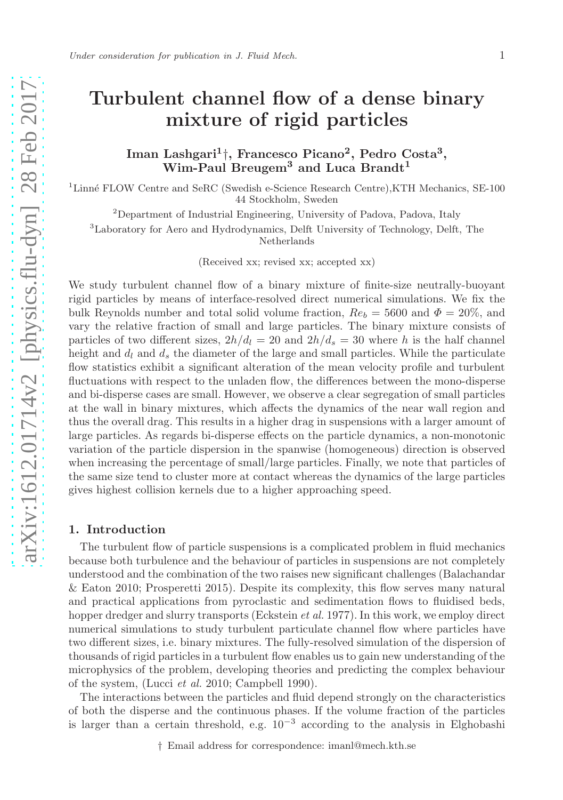# Turbulent channel flow of a dense binary mixture of rigid particles

Iman Lashgari<sup>1</sup>†, Francesco Picano<sup>2</sup>, Pedro Costa<sup>3</sup>, Wim-Paul Breugem<sup>3</sup> and Luca Brandt<sup>1</sup>

<sup>1</sup>Linné FLOW Centre and SeRC (Swedish e-Science Research Centre),KTH Mechanics, SE-100 44 Stockholm, Sweden

<sup>2</sup>Department of Industrial Engineering, University of Padova, Padova, Italy

<sup>3</sup>Laboratory for Aero and Hydrodynamics, Delft University of Technology, Delft, The

Netherlands

(Received xx; revised xx; accepted xx)

We study turbulent channel flow of a binary mixture of finite-size neutrally-buoyant rigid particles by means of interface-resolved direct numerical simulations. We fix the bulk Reynolds number and total solid volume fraction,  $Re_b = 5600$  and  $\Phi = 20\%$ , and vary the relative fraction of small and large particles. The binary mixture consists of particles of two different sizes,  $2h/d_l = 20$  and  $2h/d_s = 30$  where h is the half channel height and  $d_l$  and  $d_s$  the diameter of the large and small particles. While the particulate flow statistics exhibit a significant alteration of the mean velocity profile and turbulent fluctuations with respect to the unladen flow, the differences between the mono-disperse and bi-disperse cases are small. However, we observe a clear segregation of small particles at the wall in binary mixtures, which affects the dynamics of the near wall region and thus the overall drag. This results in a higher drag in suspensions with a larger amount of large particles. As regards bi-disperse effects on the particle dynamics, a non-monotonic variation of the particle dispersion in the spanwise (homogeneous) direction is observed when increasing the percentage of small/large particles. Finally, we note that particles of the same size tend to cluster more at contact whereas the dynamics of the large particles gives highest collision kernels due to a higher approaching speed.

### 1. Introduction

The turbulent flow of particle suspensions is a complicated problem in fluid mechanics because both turbulence and the behaviour of particles in suspensions are not completely understood and the combination of the two raises new significant challenges (Balachandar & Eaton 2010; Prosperetti 2015). Despite its complexity, this flow serves many natural and practical applications from pyroclastic and sedimentation flows to fluidised beds, hopper dredger and slurry transports (Eckstein *et al.* 1977). In this work, we employ direct numerical simulations to study turbulent particulate channel flow where particles have two different sizes, i.e. binary mixtures. The fully-resolved simulation of the dispersion of thousands of rigid particles in a turbulent flow enables us to gain new understanding of the microphysics of the problem, developing theories and predicting the complex behaviour of the system, (Lucci et al. 2010; Campbell 1990).

The interactions between the particles and fluid depend strongly on the characteristics of both the disperse and the continuous phases. If the volume fraction of the particles is larger than a certain threshold, e.g.  $10^{-3}$  according to the analysis in Elghobashi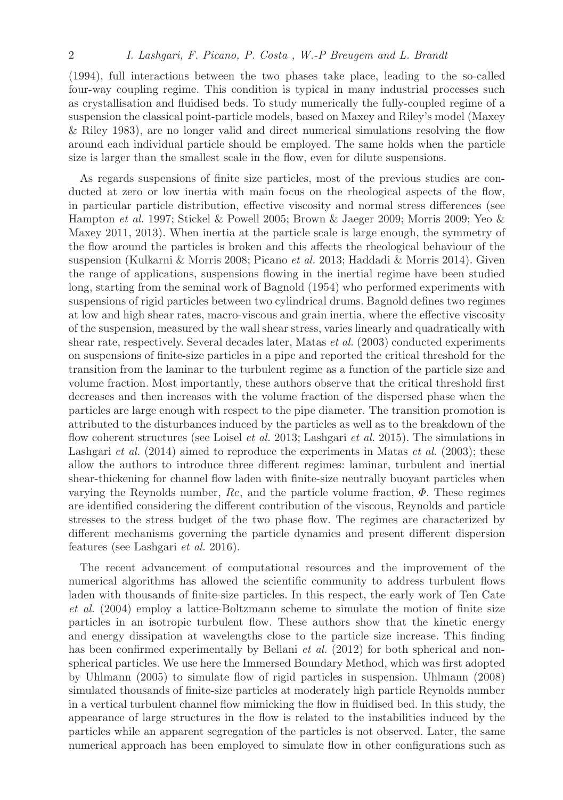(1994), full interactions between the two phases take place, leading to the so-called four-way coupling regime. This condition is typical in many industrial processes such as crystallisation and fluidised beds. To study numerically the fully-coupled regime of a suspension the classical point-particle models, based on Maxey and Riley's model (Maxey & Riley 1983), are no longer valid and direct numerical simulations resolving the flow around each individual particle should be employed. The same holds when the particle size is larger than the smallest scale in the flow, even for dilute suspensions.

As regards suspensions of finite size particles, most of the previous studies are conducted at zero or low inertia with main focus on the rheological aspects of the flow, in particular particle distribution, effective viscosity and normal stress differences (see Hampton et al. 1997; Stickel & Powell 2005; Brown & Jaeger 2009; Morris 2009; Yeo & Maxey 2011, 2013). When inertia at the particle scale is large enough, the symmetry of the flow around the particles is broken and this affects the rheological behaviour of the suspension (Kulkarni & Morris 2008; Picano et al. 2013; Haddadi & Morris 2014). Given the range of applications, suspensions flowing in the inertial regime have been studied long, starting from the seminal work of Bagnold (1954) who performed experiments with suspensions of rigid particles between two cylindrical drums. Bagnold defines two regimes at low and high shear rates, macro-viscous and grain inertia, where the effective viscosity of the suspension, measured by the wall shear stress, varies linearly and quadratically with shear rate, respectively. Several decades later, Matas et al. (2003) conducted experiments on suspensions of finite-size particles in a pipe and reported the critical threshold for the transition from the laminar to the turbulent regime as a function of the particle size and volume fraction. Most importantly, these authors observe that the critical threshold first decreases and then increases with the volume fraction of the dispersed phase when the particles are large enough with respect to the pipe diameter. The transition promotion is attributed to the disturbances induced by the particles as well as to the breakdown of the flow coherent structures (see Loisel *et al.* 2013; Lashgari *et al.* 2015). The simulations in Lashgari *et al.* (2014) aimed to reproduce the experiments in Matas *et al.* (2003); these allow the authors to introduce three different regimes: laminar, turbulent and inertial shear-thickening for channel flow laden with finite-size neutrally buoyant particles when varying the Reynolds number,  $Re$ , and the particle volume fraction,  $\Phi$ . These regimes are identified considering the different contribution of the viscous, Reynolds and particle stresses to the stress budget of the two phase flow. The regimes are characterized by different mechanisms governing the particle dynamics and present different dispersion features (see Lashgari et al. 2016).

The recent advancement of computational resources and the improvement of the numerical algorithms has allowed the scientific community to address turbulent flows laden with thousands of finite-size particles. In this respect, the early work of Ten Cate et al. (2004) employ a lattice-Boltzmann scheme to simulate the motion of finite size particles in an isotropic turbulent flow. These authors show that the kinetic energy and energy dissipation at wavelengths close to the particle size increase. This finding has been confirmed experimentally by Bellani *et al.* (2012) for both spherical and nonspherical particles. We use here the Immersed Boundary Method, which was first adopted by Uhlmann (2005) to simulate flow of rigid particles in suspension. Uhlmann (2008) simulated thousands of finite-size particles at moderately high particle Reynolds number in a vertical turbulent channel flow mimicking the flow in fluidised bed. In this study, the appearance of large structures in the flow is related to the instabilities induced by the particles while an apparent segregation of the particles is not observed. Later, the same numerical approach has been employed to simulate flow in other configurations such as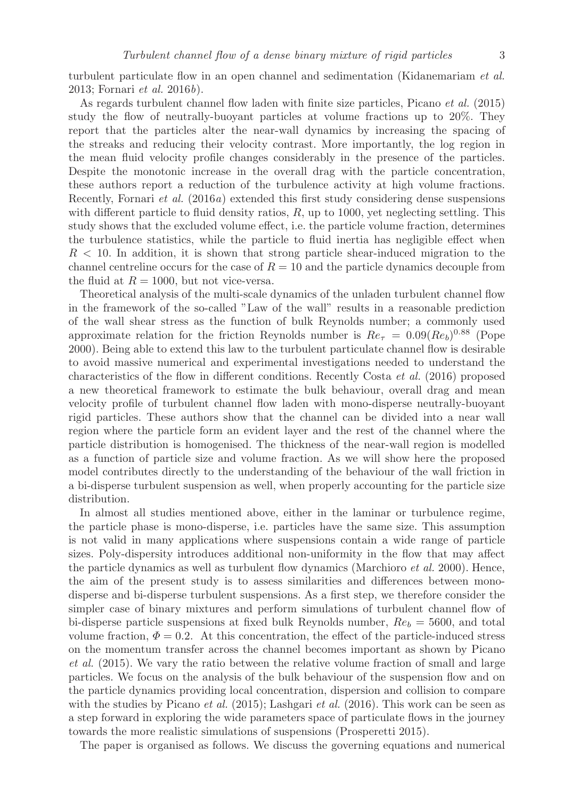turbulent particulate flow in an open channel and sedimentation (Kidanemariam et al. 2013; Fornari et al. 2016b).

As regards turbulent channel flow laden with finite size particles, Picano et al. (2015) study the flow of neutrally-buoyant particles at volume fractions up to 20%. They report that the particles alter the near-wall dynamics by increasing the spacing of the streaks and reducing their velocity contrast. More importantly, the log region in the mean fluid velocity profile changes considerably in the presence of the particles. Despite the monotonic increase in the overall drag with the particle concentration, these authors report a reduction of the turbulence activity at high volume fractions. Recently, Fornari et al. (2016a) extended this first study considering dense suspensions with different particle to fluid density ratios,  $R$ , up to 1000, yet neglecting settling. This study shows that the excluded volume effect, i.e. the particle volume fraction, determines the turbulence statistics, while the particle to fluid inertia has negligible effect when  $R < 10$ . In addition, it is shown that strong particle shear-induced migration to the channel centreline occurs for the case of  $R = 10$  and the particle dynamics decouple from the fluid at  $R = 1000$ , but not vice-versa.

Theoretical analysis of the multi-scale dynamics of the unladen turbulent channel flow in the framework of the so-called "Law of the wall" results in a reasonable prediction of the wall shear stress as the function of bulk Reynolds number; a commonly used approximate relation for the friction Reynolds number is  $Re_\tau = 0.09(Re_b)^{0.88}$  (Pope 2000). Being able to extend this law to the turbulent particulate channel flow is desirable to avoid massive numerical and experimental investigations needed to understand the characteristics of the flow in different conditions. Recently Costa et al. (2016) proposed a new theoretical framework to estimate the bulk behaviour, overall drag and mean velocity profile of turbulent channel flow laden with mono-disperse neutrally-buoyant rigid particles. These authors show that the channel can be divided into a near wall region where the particle form an evident layer and the rest of the channel where the particle distribution is homogenised. The thickness of the near-wall region is modelled as a function of particle size and volume fraction. As we will show here the proposed model contributes directly to the understanding of the behaviour of the wall friction in a bi-disperse turbulent suspension as well, when properly accounting for the particle size distribution.

In almost all studies mentioned above, either in the laminar or turbulence regime, the particle phase is mono-disperse, i.e. particles have the same size. This assumption is not valid in many applications where suspensions contain a wide range of particle sizes. Poly-dispersity introduces additional non-uniformity in the flow that may affect the particle dynamics as well as turbulent flow dynamics (Marchioro et al. 2000). Hence, the aim of the present study is to assess similarities and differences between monodisperse and bi-disperse turbulent suspensions. As a first step, we therefore consider the simpler case of binary mixtures and perform simulations of turbulent channel flow of bi-disperse particle suspensions at fixed bulk Reynolds number,  $Re_b = 5600$ , and total volume fraction,  $\Phi = 0.2$ . At this concentration, the effect of the particle-induced stress on the momentum transfer across the channel becomes important as shown by Picano et al. (2015). We vary the ratio between the relative volume fraction of small and large particles. We focus on the analysis of the bulk behaviour of the suspension flow and on the particle dynamics providing local concentration, dispersion and collision to compare with the studies by Picano *et al.* (2015); Lashgari *et al.* (2016). This work can be seen as a step forward in exploring the wide parameters space of particulate flows in the journey towards the more realistic simulations of suspensions (Prosperetti 2015).

The paper is organised as follows. We discuss the governing equations and numerical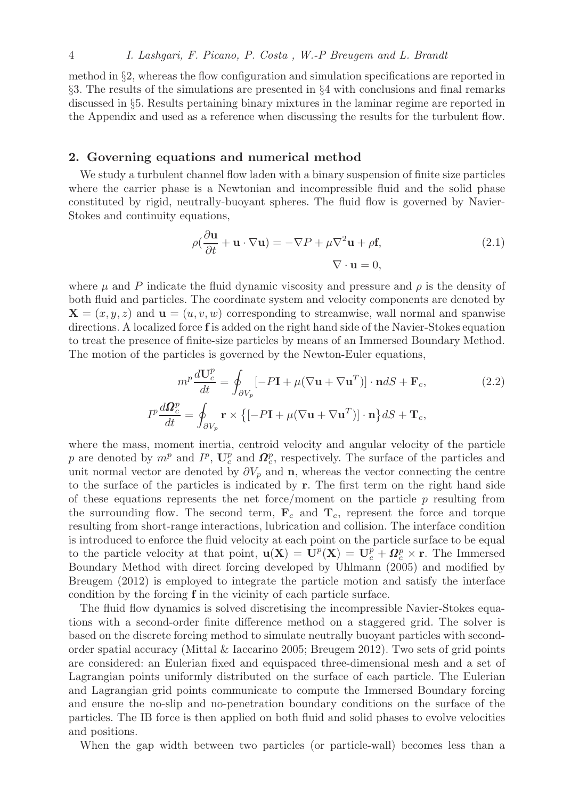method in §2, whereas the flow configuration and simulation specifications are reported in §3. The results of the simulations are presented in §4 with conclusions and final remarks discussed in §5. Results pertaining binary mixtures in the laminar regime are reported in the Appendix and used as a reference when discussing the results for the turbulent flow.

## 2. Governing equations and numerical method

We study a turbulent channel flow laden with a binary suspension of finite size particles where the carrier phase is a Newtonian and incompressible fluid and the solid phase constituted by rigid, neutrally-buoyant spheres. The fluid flow is governed by Navier-Stokes and continuity equations,

$$
\rho(\frac{\partial \mathbf{u}}{\partial t} + \mathbf{u} \cdot \nabla \mathbf{u}) = -\nabla P + \mu \nabla^2 \mathbf{u} + \rho \mathbf{f},
$$
  

$$
\nabla \cdot \mathbf{u} = 0,
$$
 (2.1)

where  $\mu$  and P indicate the fluid dynamic viscosity and pressure and  $\rho$  is the density of both fluid and particles. The coordinate system and velocity components are denoted by  $\mathbf{X} = (x, y, z)$  and  $\mathbf{u} = (u, v, w)$  corresponding to streamwise, wall normal and spanwise directions. A localized force f is added on the right hand side of the Navier-Stokes equation to treat the presence of finite-size particles by means of an Immersed Boundary Method. The motion of the particles is governed by the Newton-Euler equations,

$$
m^{p} \frac{d\mathbf{U}_{c}^{p}}{dt} = \oint_{\partial V_{p}} \left[ -P\mathbf{I} + \mu (\nabla \mathbf{u} + \nabla \mathbf{u}^{T}) \right] \cdot \mathbf{n} dS + \mathbf{F}_{c},
$$
\n
$$
I^{p} \frac{d\mathbf{\Omega}_{c}^{p}}{dt} = \oint_{\partial V_{p}} \mathbf{r} \times \left\{ \left[ -P\mathbf{I} + \mu (\nabla \mathbf{u} + \nabla \mathbf{u}^{T}) \right] \cdot \mathbf{n} \right\} dS + \mathbf{T}_{c},
$$
\n(2.2)

where the mass, moment inertia, centroid velocity and angular velocity of the particle p are denoted by  $m^p$  and  $I^p$ ,  $\mathbf{U}_c^p$  and  $\mathbf{\Omega}_c^p$ , respectively. The surface of the particles and unit normal vector are denoted by  $\partial V_p$  and **n**, whereas the vector connecting the centre to the surface of the particles is indicated by r. The first term on the right hand side of these equations represents the net force/moment on the particle  $p$  resulting from the surrounding flow. The second term,  $\mathbf{F}_c$  and  $\mathbf{T}_c$ , represent the force and torque resulting from short-range interactions, lubrication and collision. The interface condition is introduced to enforce the fluid velocity at each point on the particle surface to be equal to the particle velocity at that point,  $\mathbf{u}(\mathbf{X}) = \mathbf{U}^p(\mathbf{X}) = \mathbf{U}^p_c + \mathbf{\Omega}^p_c \times \mathbf{r}$ . The Immersed Boundary Method with direct forcing developed by Uhlmann (2005) and modified by Breugem (2012) is employed to integrate the particle motion and satisfy the interface condition by the forcing f in the vicinity of each particle surface.

The fluid flow dynamics is solved discretising the incompressible Navier-Stokes equations with a second-order finite difference method on a staggered grid. The solver is based on the discrete forcing method to simulate neutrally buoyant particles with secondorder spatial accuracy (Mittal & Iaccarino 2005; Breugem 2012). Two sets of grid points are considered: an Eulerian fixed and equispaced three-dimensional mesh and a set of Lagrangian points uniformly distributed on the surface of each particle. The Eulerian and Lagrangian grid points communicate to compute the Immersed Boundary forcing and ensure the no-slip and no-penetration boundary conditions on the surface of the particles. The IB force is then applied on both fluid and solid phases to evolve velocities and positions.

When the gap width between two particles (or particle-wall) becomes less than a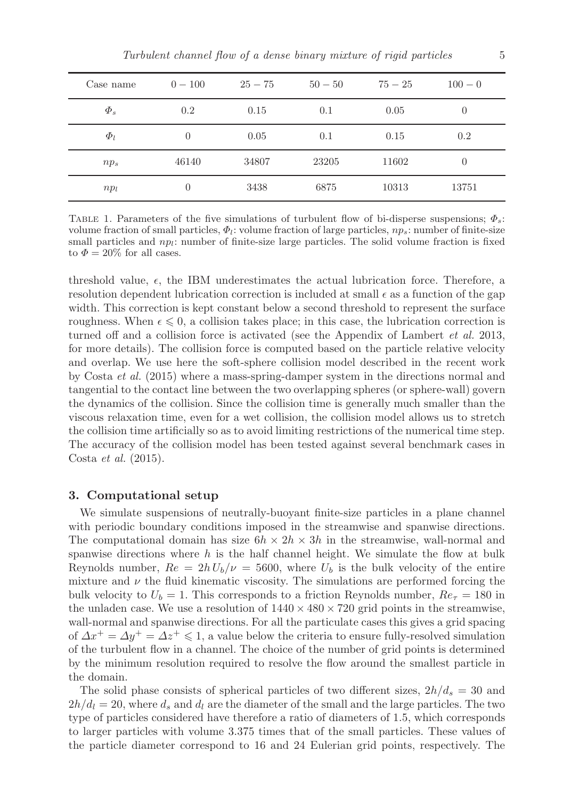| Case name  | $0 - 100$ | $25 - 75$ | $50 - 50$ | $75 - 25$ | $100 - 0$      |
|------------|-----------|-----------|-----------|-----------|----------------|
| $\Phi_{s}$ | 0.2       | 0.15      | 0.1       | 0.05      | $\theta$       |
| $\Phi_l$   | 0         | 0.05      | 0.1       | 0.15      | 0.2            |
| $np_s$     | 46140     | 34807     | 23205     | 11602     | $\overline{0}$ |
| $np_l$     | 0         | 3438      | 6875      | 10313     | 13751          |

TABLE 1. Parameters of the five simulations of turbulent flow of bi-disperse suspensions;  $\Phi_s$ : volume fraction of small particles,  $\Phi_l$ : volume fraction of large particles,  $np_s$ : number of finite-size small particles and  $np_l$ : number of finite-size large particles. The solid volume fraction is fixed to  $\Phi = 20\%$  for all cases.

threshold value,  $\epsilon$ , the IBM underestimates the actual lubrication force. Therefore, a resolution dependent lubrication correction is included at small  $\epsilon$  as a function of the gap width. This correction is kept constant below a second threshold to represent the surface roughness. When  $\epsilon \leq 0$ , a collision takes place; in this case, the lubrication correction is turned off and a collision force is activated (see the Appendix of Lambert et al. 2013, for more details). The collision force is computed based on the particle relative velocity and overlap. We use here the soft-sphere collision model described in the recent work by Costa et al. (2015) where a mass-spring-damper system in the directions normal and tangential to the contact line between the two overlapping spheres (or sphere-wall) govern the dynamics of the collision. Since the collision time is generally much smaller than the viscous relaxation time, even for a wet collision, the collision model allows us to stretch the collision time artificially so as to avoid limiting restrictions of the numerical time step. The accuracy of the collision model has been tested against several benchmark cases in Costa et al. (2015).

#### 3. Computational setup

We simulate suspensions of neutrally-buoyant finite-size particles in a plane channel with periodic boundary conditions imposed in the streamwise and spanwise directions. The computational domain has size  $6h \times 2h \times 3h$  in the streamwise, wall-normal and spanwise directions where  $h$  is the half channel height. We simulate the flow at bulk Reynolds number,  $Re = 2h U_b/\nu = 5600$ , where  $U_b$  is the bulk velocity of the entire mixture and  $\nu$  the fluid kinematic viscosity. The simulations are performed forcing the bulk velocity to  $U_b = 1$ . This corresponds to a friction Reynolds number,  $Re_\tau = 180$  in the unladen case. We use a resolution of  $1440 \times 480 \times 720$  grid points in the streamwise, wall-normal and spanwise directions. For all the particulate cases this gives a grid spacing of  $\Delta x^+ = \Delta y^+ = \Delta z^+ \leq 1$ , a value below the criteria to ensure fully-resolved simulation of the turbulent flow in a channel. The choice of the number of grid points is determined by the minimum resolution required to resolve the flow around the smallest particle in the domain.

The solid phase consists of spherical particles of two different sizes,  $2h/d_s = 30$  and  $2h/d_l = 20$ , where  $d_s$  and  $d_l$  are the diameter of the small and the large particles. The two type of particles considered have therefore a ratio of diameters of 1.5, which corresponds to larger particles with volume 3.375 times that of the small particles. These values of the particle diameter correspond to 16 and 24 Eulerian grid points, respectively. The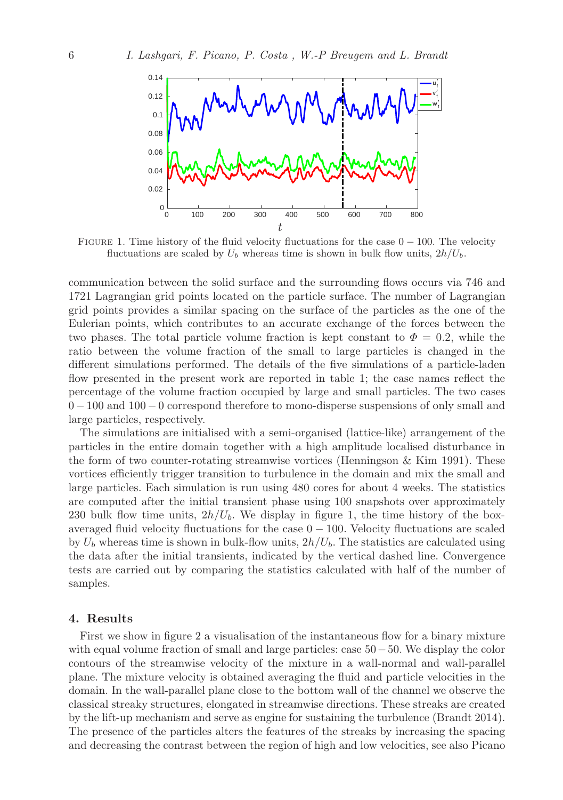

FIGURE 1. Time history of the fluid velocity fluctuations for the case  $0 - 100$ . The velocity fluctuations are scaled by  $U_b$  whereas time is shown in bulk flow units,  $2h/U_b$ .

communication between the solid surface and the surrounding flows occurs via 746 and 1721 Lagrangian grid points located on the particle surface. The number of Lagrangian grid points provides a similar spacing on the surface of the particles as the one of the Eulerian points, which contributes to an accurate exchange of the forces between the two phases. The total particle volume fraction is kept constant to  $\Phi = 0.2$ , while the ratio between the volume fraction of the small to large particles is changed in the different simulations performed. The details of the five simulations of a particle-laden flow presented in the present work are reported in table 1; the case names reflect the percentage of the volume fraction occupied by large and small particles. The two cases 0 − 100 and 100 − 0 correspond therefore to mono-disperse suspensions of only small and large particles, respectively.

The simulations are initialised with a semi-organised (lattice-like) arrangement of the particles in the entire domain together with a high amplitude localised disturbance in the form of two counter-rotating streamwise vortices (Henningson & Kim 1991). These vortices efficiently trigger transition to turbulence in the domain and mix the small and large particles. Each simulation is run using 480 cores for about 4 weeks. The statistics are computed after the initial transient phase using 100 snapshots over approximately 230 bulk flow time units,  $2h/U_b$ . We display in figure 1, the time history of the boxaveraged fluid velocity fluctuations for the case  $0 - 100$ . Velocity fluctuations are scaled by  $U_b$  whereas time is shown in bulk-flow units,  $2h/U_b$ . The statistics are calculated using the data after the initial transients, indicated by the vertical dashed line. Convergence tests are carried out by comparing the statistics calculated with half of the number of samples.

### 4. Results

First we show in figure 2 a visualisation of the instantaneous flow for a binary mixture with equal volume fraction of small and large particles: case 50−50. We display the color contours of the streamwise velocity of the mixture in a wall-normal and wall-parallel plane. The mixture velocity is obtained averaging the fluid and particle velocities in the domain. In the wall-parallel plane close to the bottom wall of the channel we observe the classical streaky structures, elongated in streamwise directions. These streaks are created by the lift-up mechanism and serve as engine for sustaining the turbulence (Brandt 2014). The presence of the particles alters the features of the streaks by increasing the spacing and decreasing the contrast between the region of high and low velocities, see also Picano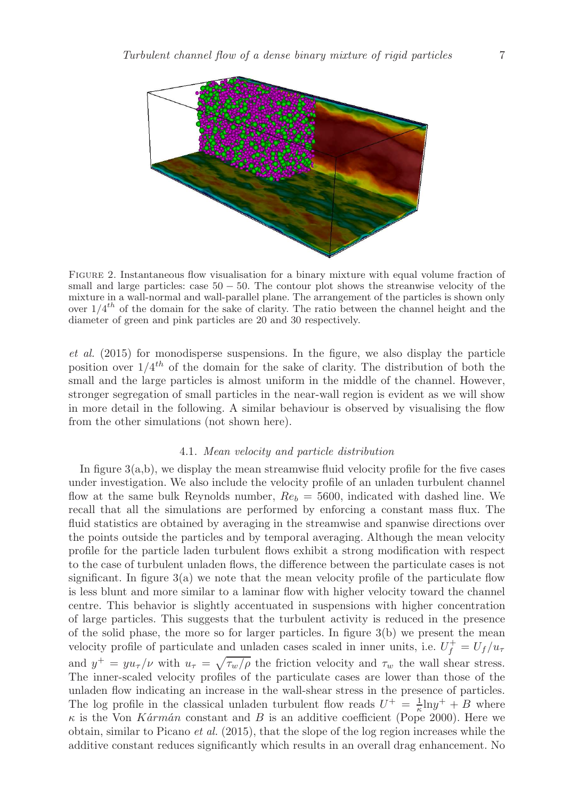

Figure 2. Instantaneous flow visualisation for a binary mixture with equal volume fraction of small and large particles: case  $50 - 50$ . The contour plot shows the streanwise velocity of the mixture in a wall-normal and wall-parallel plane. The arrangement of the particles is shown only over  $1/4^{th}$  of the domain for the sake of clarity. The ratio between the channel height and the diameter of green and pink particles are 20 and 30 respectively.

et al. (2015) for monodisperse suspensions. In the figure, we also display the particle position over  $1/4^{th}$  of the domain for the sake of clarity. The distribution of both the small and the large particles is almost uniform in the middle of the channel. However, stronger segregation of small particles in the near-wall region is evident as we will show in more detail in the following. A similar behaviour is observed by visualising the flow from the other simulations (not shown here).

## 4.1. Mean velocity and particle distribution

In figure 3(a,b), we display the mean streamwise fluid velocity profile for the five cases under investigation. We also include the velocity profile of an unladen turbulent channel flow at the same bulk Reynolds number,  $Re_b = 5600$ , indicated with dashed line. We recall that all the simulations are performed by enforcing a constant mass flux. The fluid statistics are obtained by averaging in the streamwise and spanwise directions over the points outside the particles and by temporal averaging. Although the mean velocity profile for the particle laden turbulent flows exhibit a strong modification with respect to the case of turbulent unladen flows, the difference between the particulate cases is not significant. In figure  $3(a)$  we note that the mean velocity profile of the particulate flow is less blunt and more similar to a laminar flow with higher velocity toward the channel centre. This behavior is slightly accentuated in suspensions with higher concentration of large particles. This suggests that the turbulent activity is reduced in the presence of the solid phase, the more so for larger particles. In figure  $3(b)$  we present the mean velocity profile of particulate and unladen cases scaled in inner units, i.e.  $U_f^+ = U_f/u_\tau$ and  $y^+ = y u_\tau/\nu$  with  $u_\tau = \sqrt{\tau_w/\rho}$  the friction velocity and  $\tau_w$  the wall shear stress. The inner-scaled velocity profiles of the particulate cases are lower than those of the unladen flow indicating an increase in the wall-shear stress in the presence of particles. The log profile in the classical unladen turbulent flow reads  $U^+ = \frac{1}{\kappa} \ln y^+ + B$  where  $\kappa$  is the Von Kármán constant and B is an additive coefficient (Pope 2000). Here we obtain, similar to Picano et al. (2015), that the slope of the log region increases while the additive constant reduces significantly which results in an overall drag enhancement. No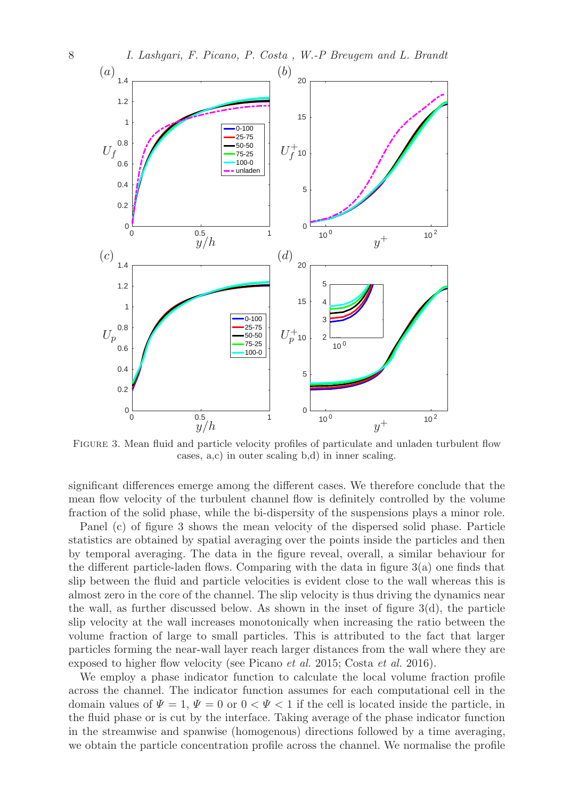

Figure 3. Mean fluid and particle velocity profiles of particulate and unladen turbulent flow cases, a,c) in outer scaling b,d) in inner scaling.

significant differences emerge among the different cases. We therefore conclude that the mean flow velocity of the turbulent channel flow is definitely controlled by the volume fraction of the solid phase, while the bi-dispersity of the suspensions plays a minor role.

Panel (c) of figure 3 shows the mean velocity of the dispersed solid phase. Particle statistics are obtained by spatial averaging over the points inside the particles and then by temporal averaging. The data in the figure reveal, overall, a similar behaviour for the different particle-laden flows. Comparing with the data in figure 3(a) one finds that slip between the fluid and particle velocities is evident close to the wall whereas this is almost zero in the core of the channel. The slip velocity is thus driving the dynamics near the wall, as further discussed below. As shown in the inset of figure 3(d), the particle slip velocity at the wall increases monotonically when increasing the ratio between the volume fraction of large to small particles. This is attributed to the fact that larger particles forming the near-wall layer reach larger distances from the wall where they are exposed to higher flow velocity (see Picano et al. 2015; Costa et al. 2016).

We employ a phase indicator function to calculate the local volume fraction profile across the channel. The indicator function assumes for each computational cell in the domain values of  $\Psi = 1$ ,  $\Psi = 0$  or  $0 < \Psi < 1$  if the cell is located inside the particle, in the fluid phase or is cut by the interface. Taking average of the phase indicator function in the streamwise and spanwise (homogenous) directions followed by a time averaging, we obtain the particle concentration profile across the channel. We normalise the profile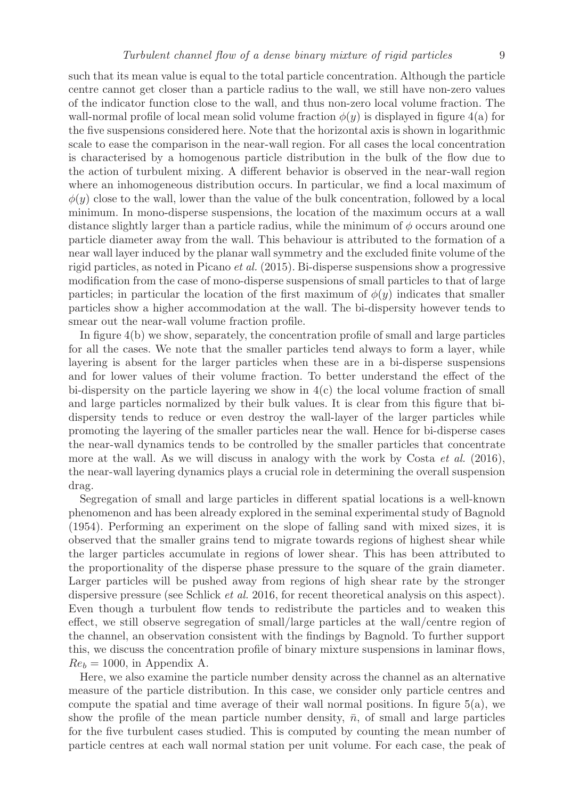such that its mean value is equal to the total particle concentration. Although the particle centre cannot get closer than a particle radius to the wall, we still have non-zero values of the indicator function close to the wall, and thus non-zero local volume fraction. The wall-normal profile of local mean solid volume fraction  $\phi(y)$  is displayed in figure 4(a) for the five suspensions considered here. Note that the horizontal axis is shown in logarithmic scale to ease the comparison in the near-wall region. For all cases the local concentration is characterised by a homogenous particle distribution in the bulk of the flow due to the action of turbulent mixing. A different behavior is observed in the near-wall region where an inhomogeneous distribution occurs. In particular, we find a local maximum of  $\phi(y)$  close to the wall, lower than the value of the bulk concentration, followed by a local minimum. In mono-disperse suspensions, the location of the maximum occurs at a wall distance slightly larger than a particle radius, while the minimum of  $\phi$  occurs around one particle diameter away from the wall. This behaviour is attributed to the formation of a near wall layer induced by the planar wall symmetry and the excluded finite volume of the rigid particles, as noted in Picano et al. (2015). Bi-disperse suspensions show a progressive modification from the case of mono-disperse suspensions of small particles to that of large particles; in particular the location of the first maximum of  $\phi(y)$  indicates that smaller particles show a higher accommodation at the wall. The bi-dispersity however tends to smear out the near-wall volume fraction profile.

In figure 4(b) we show, separately, the concentration profile of small and large particles for all the cases. We note that the smaller particles tend always to form a layer, while layering is absent for the larger particles when these are in a bi-disperse suspensions and for lower values of their volume fraction. To better understand the effect of the bi-dispersity on the particle layering we show in  $4(c)$  the local volume fraction of small and large particles normalized by their bulk values. It is clear from this figure that bidispersity tends to reduce or even destroy the wall-layer of the larger particles while promoting the layering of the smaller particles near the wall. Hence for bi-disperse cases the near-wall dynamics tends to be controlled by the smaller particles that concentrate more at the wall. As we will discuss in analogy with the work by Costa  $et \ al.$  (2016), the near-wall layering dynamics plays a crucial role in determining the overall suspension drag.

Segregation of small and large particles in different spatial locations is a well-known phenomenon and has been already explored in the seminal experimental study of Bagnold (1954). Performing an experiment on the slope of falling sand with mixed sizes, it is observed that the smaller grains tend to migrate towards regions of highest shear while the larger particles accumulate in regions of lower shear. This has been attributed to the proportionality of the disperse phase pressure to the square of the grain diameter. Larger particles will be pushed away from regions of high shear rate by the stronger dispersive pressure (see Schlick et al. 2016, for recent theoretical analysis on this aspect). Even though a turbulent flow tends to redistribute the particles and to weaken this effect, we still observe segregation of small/large particles at the wall/centre region of the channel, an observation consistent with the findings by Bagnold. To further support this, we discuss the concentration profile of binary mixture suspensions in laminar flows,  $Re_b = 1000$ , in Appendix A.

Here, we also examine the particle number density across the channel as an alternative measure of the particle distribution. In this case, we consider only particle centres and compute the spatial and time average of their wall normal positions. In figure 5(a), we show the profile of the mean particle number density,  $\bar{n}$ , of small and large particles for the five turbulent cases studied. This is computed by counting the mean number of particle centres at each wall normal station per unit volume. For each case, the peak of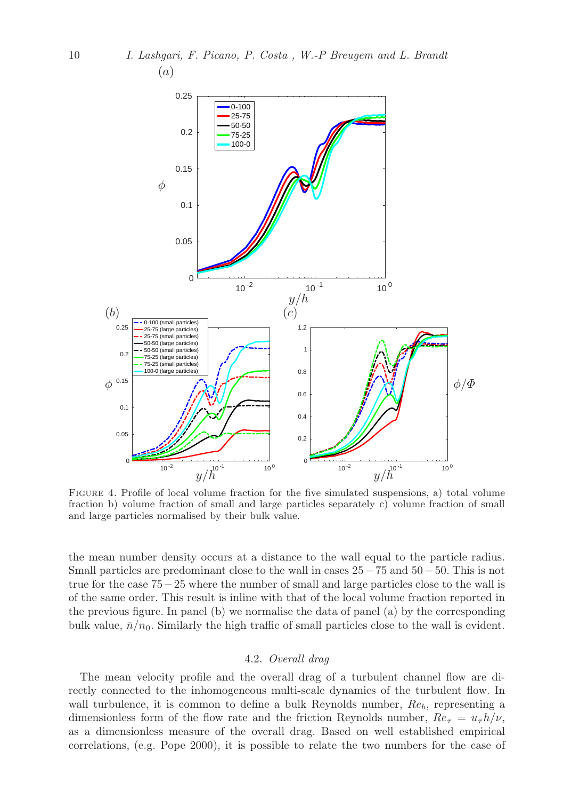

Figure 4. Profile of local volume fraction for the five simulated suspensions, a) total volume fraction b) volume fraction of small and large particles separately c) volume fraction of small and large particles normalised by their bulk value.

the mean number density occurs at a distance to the wall equal to the particle radius. Small particles are predominant close to the wall in cases  $25-75$  and  $50-50$ . This is not true for the case 75−25 where the number of small and large particles close to the wall is of the same order. This result is inline with that of the local volume fraction reported in the previous figure. In panel (b) we normalise the data of panel (a) by the corresponding bulk value,  $\bar{n}/n_0$ . Similarly the high traffic of small particles close to the wall is evident.

#### 4.2. Overall drag

The mean velocity profile and the overall drag of a turbulent channel flow are directly connected to the inhomogeneous multi-scale dynamics of the turbulent flow. In wall turbulence, it is common to define a bulk Reynolds number,  $Re_b$ , representing a dimensionless form of the flow rate and the friction Reynolds number,  $Re_\tau = u_\tau h/\nu$ , as a dimensionless measure of the overall drag. Based on well established empirical correlations, (e.g. Pope 2000), it is possible to relate the two numbers for the case of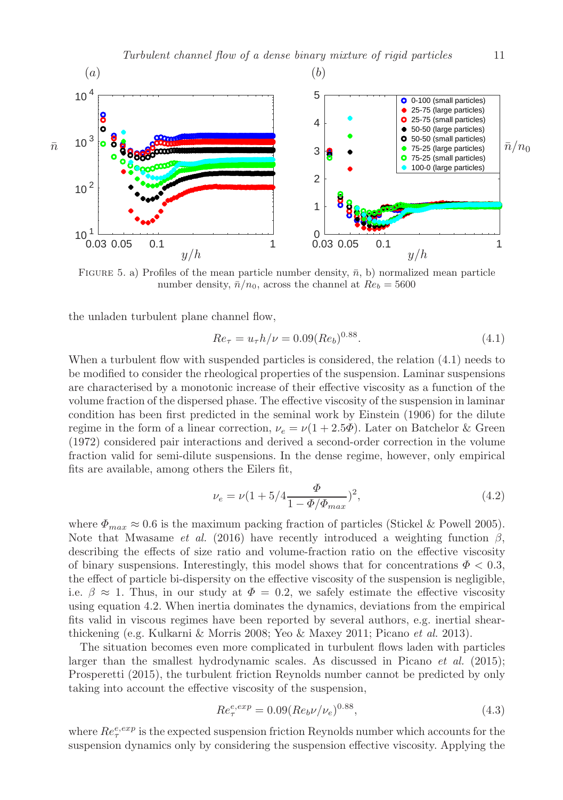

FIGURE 5. a) Profiles of the mean particle number density,  $\bar{n}$ , b) normalized mean particle number density,  $\bar{n}/n_0$ , across the channel at  $Re_b = 5600$ 

the unladen turbulent plane channel flow,

$$
Re_{\tau} = u_{\tau} h / \nu = 0.09 (Re_b)^{0.88}.
$$
\n(4.1)

When a turbulent flow with suspended particles is considered, the relation  $(4.1)$  needs to be modified to consider the rheological properties of the suspension. Laminar suspensions are characterised by a monotonic increase of their effective viscosity as a function of the volume fraction of the dispersed phase. The effective viscosity of the suspension in laminar condition has been first predicted in the seminal work by Einstein (1906) for the dilute regime in the form of a linear correction,  $\nu_e = \nu(1 + 2.5\Phi)$ . Later on Batchelor & Green (1972) considered pair interactions and derived a second-order correction in the volume fraction valid for semi-dilute suspensions. In the dense regime, however, only empirical fits are available, among others the Eilers fit,

$$
\nu_e = \nu (1 + 5/4 \frac{\Phi}{1 - \Phi/\Phi_{max}})^2, \tag{4.2}
$$

where  $\Phi_{max} \approx 0.6$  is the maximum packing fraction of particles (Stickel & Powell 2005). Note that Mwasame *et al.* (2016) have recently introduced a weighting function  $\beta$ , describing the effects of size ratio and volume-fraction ratio on the effective viscosity of binary suspensions. Interestingly, this model shows that for concentrations  $\Phi < 0.3$ , the effect of particle bi-dispersity on the effective viscosity of the suspension is negligible, i.e.  $\beta \approx 1$ . Thus, in our study at  $\Phi = 0.2$ , we safely estimate the effective viscosity using equation 4.2. When inertia dominates the dynamics, deviations from the empirical fits valid in viscous regimes have been reported by several authors, e.g. inertial shearthickening (e.g. Kulkarni & Morris 2008; Yeo & Maxey 2011; Picano et al. 2013).

The situation becomes even more complicated in turbulent flows laden with particles larger than the smallest hydrodynamic scales. As discussed in Picano et al. (2015); Prosperetti (2015), the turbulent friction Reynolds number cannot be predicted by only taking into account the effective viscosity of the suspension,

$$
Re_{\tau}^{e,exp} = 0.09(Re_b \nu/\nu_e)^{0.88},\tag{4.3}
$$

where  $Re_{\tau}^{e, exp}$  is the expected suspension friction Reynolds number which accounts for the suspension dynamics only by considering the suspension effective viscosity. Applying the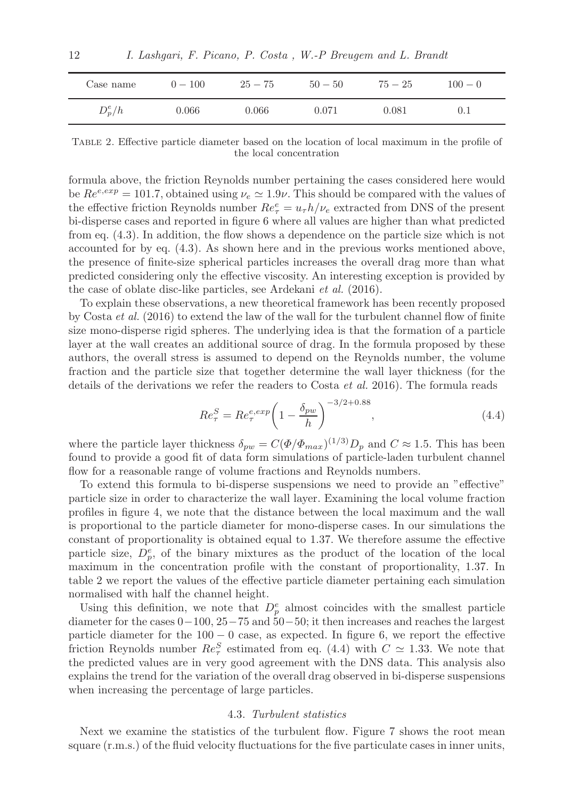| Case name | $0 - 100$ | $25 - 75$ | $50 - 50$ | $75 - 25$ | $100 - 0$ |  |
|-----------|-----------|-----------|-----------|-----------|-----------|--|
| $D_p^e/h$ | 0.066     | 0.066     | 0.071     | 0.081     |           |  |

Table 2. Effective particle diameter based on the location of local maximum in the profile of the local concentration

formula above, the friction Reynolds number pertaining the cases considered here would be  $Re^{e,exp} = 101.7$ , obtained using  $\nu_e \simeq 1.9\nu$ . This should be compared with the values of the effective friction Reynolds number  $Re_{\tau}^e = u_{\tau}h/\nu_e$  extracted from DNS of the present bi-disperse cases and reported in figure 6 where all values are higher than what predicted from eq. (4.3). In addition, the flow shows a dependence on the particle size which is not accounted for by eq. (4.3). As shown here and in the previous works mentioned above, the presence of finite-size spherical particles increases the overall drag more than what predicted considering only the effective viscosity. An interesting exception is provided by the case of oblate disc-like particles, see Ardekani et al. (2016).

To explain these observations, a new theoretical framework has been recently proposed by Costa et al. (2016) to extend the law of the wall for the turbulent channel flow of finite size mono-disperse rigid spheres. The underlying idea is that the formation of a particle layer at the wall creates an additional source of drag. In the formula proposed by these authors, the overall stress is assumed to depend on the Reynolds number, the volume fraction and the particle size that together determine the wall layer thickness (for the details of the derivations we refer the readers to Costa et al. 2016). The formula reads

$$
Re_{\tau}^{S} = Re_{\tau}^{e,exp} \left( 1 - \frac{\delta_{pw}}{h} \right)^{-3/2 + 0.88}, \qquad (4.4)
$$

where the particle layer thickness  $\delta_{pw} = C(\Phi/\Phi_{max})^{(1/3)} D_p$  and  $C \approx 1.5$ . This has been found to provide a good fit of data form simulations of particle-laden turbulent channel flow for a reasonable range of volume fractions and Reynolds numbers.

To extend this formula to bi-disperse suspensions we need to provide an "effective" particle size in order to characterize the wall layer. Examining the local volume fraction profiles in figure 4, we note that the distance between the local maximum and the wall is proportional to the particle diameter for mono-disperse cases. In our simulations the constant of proportionality is obtained equal to 1.37. We therefore assume the effective particle size,  $D_p^e$ , of the binary mixtures as the product of the location of the local maximum in the concentration profile with the constant of proportionality, 1.37. In table 2 we report the values of the effective particle diameter pertaining each simulation normalised with half the channel height.

Using this definition, we note that  $D_p^e$  almost coincides with the smallest particle diameter for the cases 0−100, 25−75 and 50−50; it then increases and reaches the largest particle diameter for the 100 − 0 case, as expected. In figure 6, we report the effective friction Reynolds number  $Re_{\tau}^{S}$  estimated from eq. (4.4) with  $C \simeq 1.33$ . We note that the predicted values are in very good agreement with the DNS data. This analysis also explains the trend for the variation of the overall drag observed in bi-disperse suspensions when increasing the percentage of large particles.

#### 4.3. Turbulent statistics

Next we examine the statistics of the turbulent flow. Figure 7 shows the root mean square (r.m.s.) of the fluid velocity fluctuations for the five particulate cases in inner units,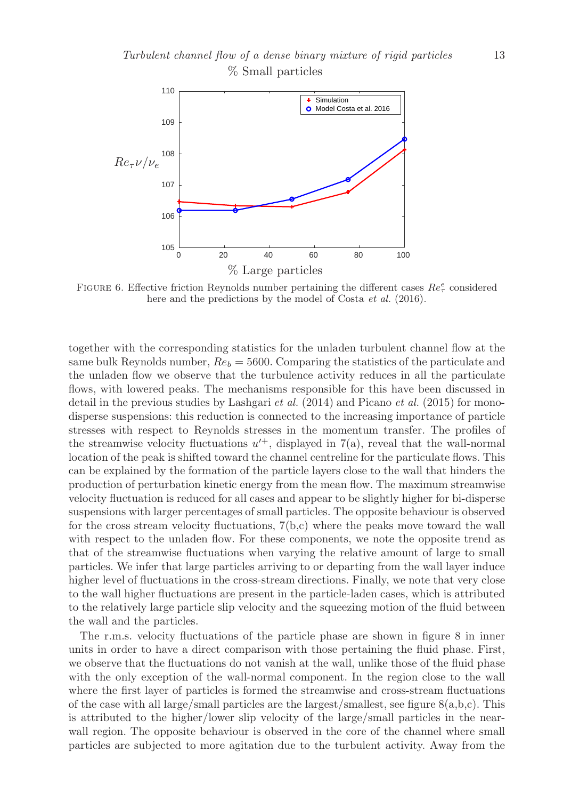

FIGURE 6. Effective friction Reynolds number pertaining the different cases  $Re_\tau^e$  considered here and the predictions by the model of Costa *et al.* (2016).

together with the corresponding statistics for the unladen turbulent channel flow at the same bulk Reynolds number,  $Re_b = 5600$ . Comparing the statistics of the particulate and the unladen flow we observe that the turbulence activity reduces in all the particulate flows, with lowered peaks. The mechanisms responsible for this have been discussed in detail in the previous studies by Lashgari *et al.* (2014) and Picano *et al.* (2015) for monodisperse suspensions: this reduction is connected to the increasing importance of particle stresses with respect to Reynolds stresses in the momentum transfer. The profiles of the streamwise velocity fluctuations  $u'^+$ , displayed in 7(a), reveal that the wall-normal location of the peak is shifted toward the channel centreline for the particulate flows. This can be explained by the formation of the particle layers close to the wall that hinders the production of perturbation kinetic energy from the mean flow. The maximum streamwise velocity fluctuation is reduced for all cases and appear to be slightly higher for bi-disperse suspensions with larger percentages of small particles. The opposite behaviour is observed for the cross stream velocity fluctuations, 7(b,c) where the peaks move toward the wall with respect to the unladen flow. For these components, we note the opposite trend as that of the streamwise fluctuations when varying the relative amount of large to small particles. We infer that large particles arriving to or departing from the wall layer induce higher level of fluctuations in the cross-stream directions. Finally, we note that very close to the wall higher fluctuations are present in the particle-laden cases, which is attributed to the relatively large particle slip velocity and the squeezing motion of the fluid between the wall and the particles.

The r.m.s. velocity fluctuations of the particle phase are shown in figure 8 in inner units in order to have a direct comparison with those pertaining the fluid phase. First, we observe that the fluctuations do not vanish at the wall, unlike those of the fluid phase with the only exception of the wall-normal component. In the region close to the wall where the first layer of particles is formed the streamwise and cross-stream fluctuations of the case with all large/small particles are the largest/smallest, see figure  $8(a,b,c)$ . This is attributed to the higher/lower slip velocity of the large/small particles in the nearwall region. The opposite behaviour is observed in the core of the channel where small particles are subjected to more agitation due to the turbulent activity. Away from the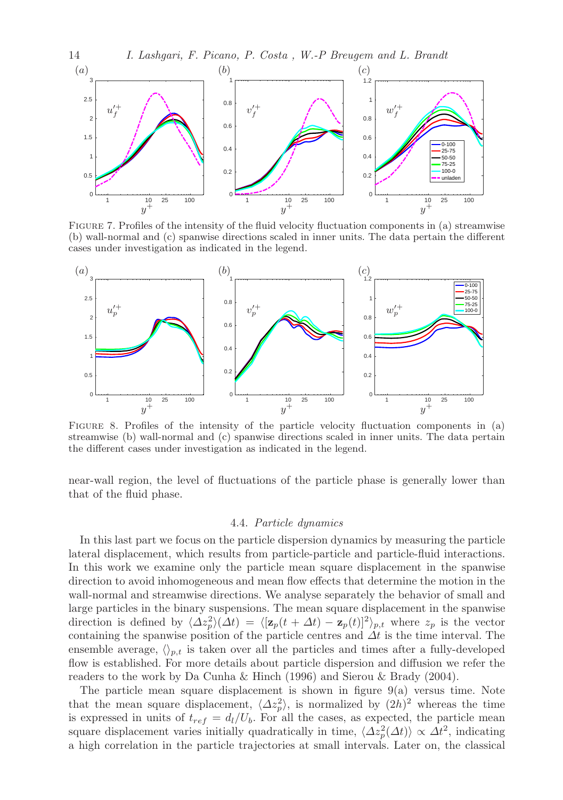

Figure 7. Profiles of the intensity of the fluid velocity fluctuation components in (a) streamwise (b) wall-normal and (c) spanwise directions scaled in inner units. The data pertain the different cases under investigation as indicated in the legend.



Figure 8. Profiles of the intensity of the particle velocity fluctuation components in (a) streamwise (b) wall-normal and (c) spanwise directions scaled in inner units. The data pertain the different cases under investigation as indicated in the legend.

near-wall region, the level of fluctuations of the particle phase is generally lower than that of the fluid phase.

#### 4.4. Particle dynamics

In this last part we focus on the particle dispersion dynamics by measuring the particle lateral displacement, which results from particle-particle and particle-fluid interactions. In this work we examine only the particle mean square displacement in the spanwise direction to avoid inhomogeneous and mean flow effects that determine the motion in the wall-normal and streamwise directions. We analyse separately the behavior of small and large particles in the binary suspensions. The mean square displacement in the spanwise direction is defined by  $\langle \Delta z_p^2 \rangle(\Delta t) = \langle [\mathbf{z}_p(t + \Delta t) - \mathbf{z}_p(t)]^2 \rangle_{p,t}$  where  $z_p$  is the vector containing the spanwise position of the particle centres and  $\Delta t$  is the time interval. The ensemble average,  $\langle \rangle_{p,t}$  is taken over all the particles and times after a fully-developed flow is established. For more details about particle dispersion and diffusion we refer the readers to the work by Da Cunha & Hinch (1996) and Sierou & Brady (2004).

The particle mean square displacement is shown in figure 9(a) versus time. Note that the mean square displacement,  $\langle \Delta z_p^2 \rangle$ , is normalized by  $(2h)^2$  whereas the time is expressed in units of  $t_{ref} = d_l/U_b$ . For all the cases, as expected, the particle mean square displacement varies initially quadratically in time,  $\langle \Delta z_p^2(\Delta t) \rangle \propto \Delta t^2$ , indicating a high correlation in the particle trajectories at small intervals. Later on, the classical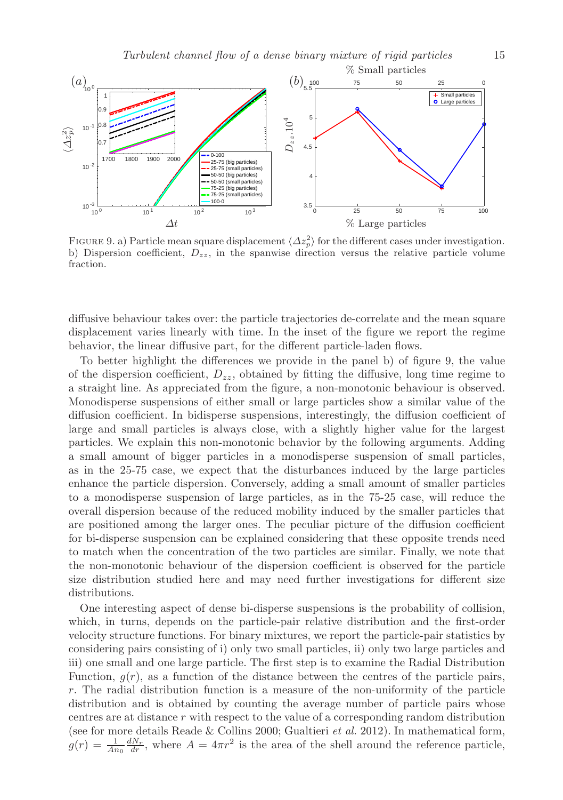

FIGURE 9. a) Particle mean square displacement  $\langle \Delta z_p^2 \rangle$  for the different cases under investigation. b) Dispersion coefficient,  $D_{zz}$ , in the spanwise direction versus the relative particle volume fraction.

diffusive behaviour takes over: the particle trajectories de-correlate and the mean square displacement varies linearly with time. In the inset of the figure we report the regime behavior, the linear diffusive part, for the different particle-laden flows.

To better highlight the differences we provide in the panel b) of figure 9, the value of the dispersion coefficient,  $D_{zz}$ , obtained by fitting the diffusive, long time regime to a straight line. As appreciated from the figure, a non-monotonic behaviour is observed. Monodisperse suspensions of either small or large particles show a similar value of the diffusion coefficient. In bidisperse suspensions, interestingly, the diffusion coefficient of large and small particles is always close, with a slightly higher value for the largest particles. We explain this non-monotonic behavior by the following arguments. Adding a small amount of bigger particles in a monodisperse suspension of small particles, as in the 25-75 case, we expect that the disturbances induced by the large particles enhance the particle dispersion. Conversely, adding a small amount of smaller particles to a monodisperse suspension of large particles, as in the 75-25 case, will reduce the overall dispersion because of the reduced mobility induced by the smaller particles that are positioned among the larger ones. The peculiar picture of the diffusion coefficient for bi-disperse suspension can be explained considering that these opposite trends need to match when the concentration of the two particles are similar. Finally, we note that the non-monotonic behaviour of the dispersion coefficient is observed for the particle size distribution studied here and may need further investigations for different size distributions.

One interesting aspect of dense bi-disperse suspensions is the probability of collision, which, in turns, depends on the particle-pair relative distribution and the first-order velocity structure functions. For binary mixtures, we report the particle-pair statistics by considering pairs consisting of i) only two small particles, ii) only two large particles and iii) one small and one large particle. The first step is to examine the Radial Distribution Function,  $g(r)$ , as a function of the distance between the centres of the particle pairs, r. The radial distribution function is a measure of the non-uniformity of the particle distribution and is obtained by counting the average number of particle pairs whose centres are at distance r with respect to the value of a corresponding random distribution (see for more details Reade & Collins 2000; Gualtieri et al. 2012). In mathematical form,  $g(r) = \frac{1}{An_0} \frac{dN_r}{dr}$ , where  $A = 4\pi r^2$  is the area of the shell around the reference particle,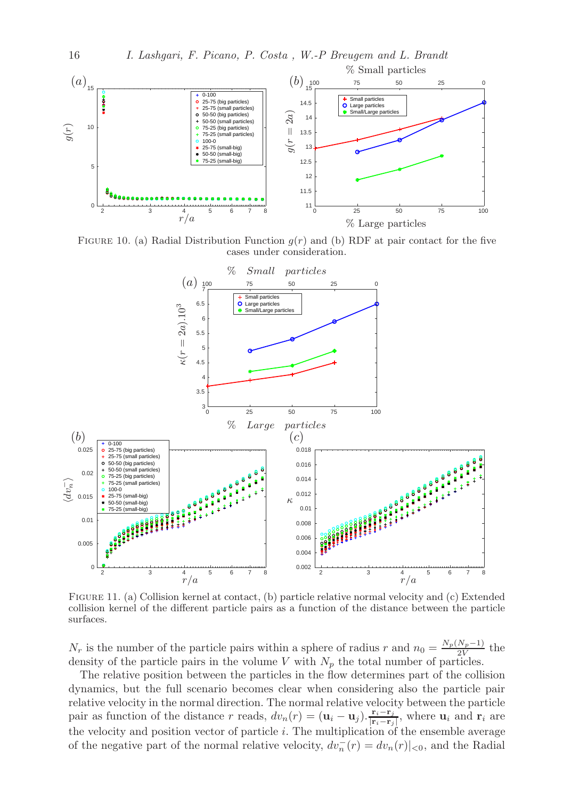

FIGURE 10. (a) Radial Distribution Function  $g(r)$  and (b) RDF at pair contact for the five cases under consideration.



Figure 11. (a) Collision kernel at contact, (b) particle relative normal velocity and (c) Extended collision kernel of the different particle pairs as a function of the distance between the particle surfaces.

 $N_r$  is the number of the particle pairs within a sphere of radius r and  $n_0 = \frac{N_p(N_p-1)}{2V}$  $\frac{N_p-1}{2V}$  the density of the particle pairs in the volume V with  $N_p$  the total number of particles.

The relative position between the particles in the flow determines part of the collision dynamics, but the full scenario becomes clear when considering also the particle pair relative velocity in the normal direction. The normal relative velocity between the particle pair as function of the distance r reads,  $dv_n(r) = (\mathbf{u}_i - \mathbf{u}_j) \cdot \frac{\mathbf{r}_i - \mathbf{r}_j}{\mathbf{r}_i - \mathbf{r}_j}$  $\frac{\mathbf{r}_i - \mathbf{r}_j}{|\mathbf{r}_i - \mathbf{r}_j|}$ , where  $\mathbf{u}_i$  and  $\mathbf{r}_i$  are the velocity and position vector of particle  $i$ . The multiplication of the ensemble average of the negative part of the normal relative velocity,  $dv_n^-(r) = dv_n(r)|_{\leq 0}$ , and the Radial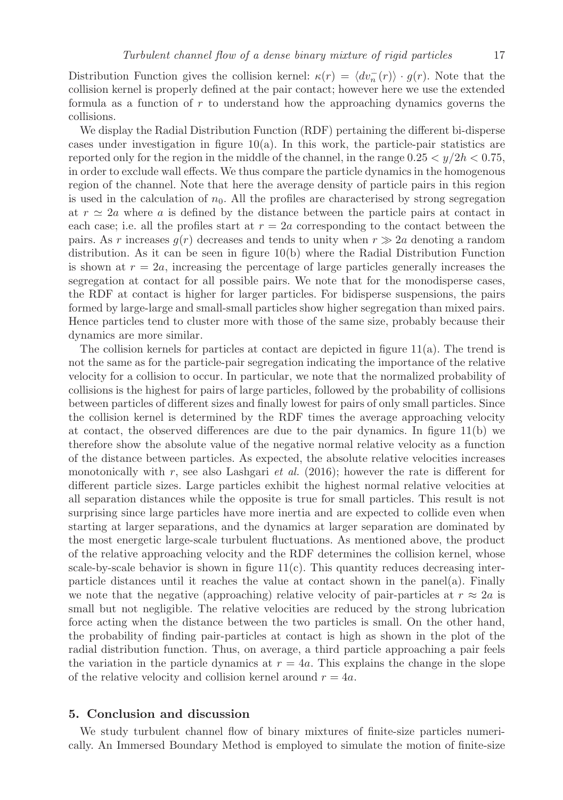Distribution Function gives the collision kernel:  $\kappa(r) = \langle dv_n^-(r) \rangle \cdot g(r)$ . Note that the collision kernel is properly defined at the pair contact; however here we use the extended formula as a function of  $r$  to understand how the approaching dynamics governs the collisions.

We display the Radial Distribution Function (RDF) pertaining the different bi-disperse cases under investigation in figure  $10(a)$ . In this work, the particle-pair statistics are reported only for the region in the middle of the channel, in the range  $0.25 < y/2h < 0.75$ , in order to exclude wall effects. We thus compare the particle dynamics in the homogenous region of the channel. Note that here the average density of particle pairs in this region is used in the calculation of  $n_0$ . All the profiles are characterised by strong segregation at  $r \approx 2a$  where a is defined by the distance between the particle pairs at contact in each case; i.e. all the profiles start at  $r = 2a$  corresponding to the contact between the pairs. As r increases  $g(r)$  decreases and tends to unity when  $r \gg 2a$  denoting a random distribution. As it can be seen in figure 10(b) where the Radial Distribution Function is shown at  $r = 2a$ , increasing the percentage of large particles generally increases the segregation at contact for all possible pairs. We note that for the monodisperse cases, the RDF at contact is higher for larger particles. For bidisperse suspensions, the pairs formed by large-large and small-small particles show higher segregation than mixed pairs. Hence particles tend to cluster more with those of the same size, probably because their dynamics are more similar.

The collision kernels for particles at contact are depicted in figure  $11(a)$ . The trend is not the same as for the particle-pair segregation indicating the importance of the relative velocity for a collision to occur. In particular, we note that the normalized probability of collisions is the highest for pairs of large particles, followed by the probability of collisions between particles of different sizes and finally lowest for pairs of only small particles. Since the collision kernel is determined by the RDF times the average approaching velocity at contact, the observed differences are due to the pair dynamics. In figure 11(b) we therefore show the absolute value of the negative normal relative velocity as a function of the distance between particles. As expected, the absolute relative velocities increases monotonically with r, see also Lashgari *et al.* (2016); however the rate is different for different particle sizes. Large particles exhibit the highest normal relative velocities at all separation distances while the opposite is true for small particles. This result is not surprising since large particles have more inertia and are expected to collide even when starting at larger separations, and the dynamics at larger separation are dominated by the most energetic large-scale turbulent fluctuations. As mentioned above, the product of the relative approaching velocity and the RDF determines the collision kernel, whose scale-by-scale behavior is shown in figure  $11(c)$ . This quantity reduces decreasing interparticle distances until it reaches the value at contact shown in the panel(a). Finally we note that the negative (approaching) relative velocity of pair-particles at  $r \approx 2a$  is small but not negligible. The relative velocities are reduced by the strong lubrication force acting when the distance between the two particles is small. On the other hand, the probability of finding pair-particles at contact is high as shown in the plot of the radial distribution function. Thus, on average, a third particle approaching a pair feels the variation in the particle dynamics at  $r = 4a$ . This explains the change in the slope of the relative velocity and collision kernel around  $r = 4a$ .

## 5. Conclusion and discussion

We study turbulent channel flow of binary mixtures of finite-size particles numerically. An Immersed Boundary Method is employed to simulate the motion of finite-size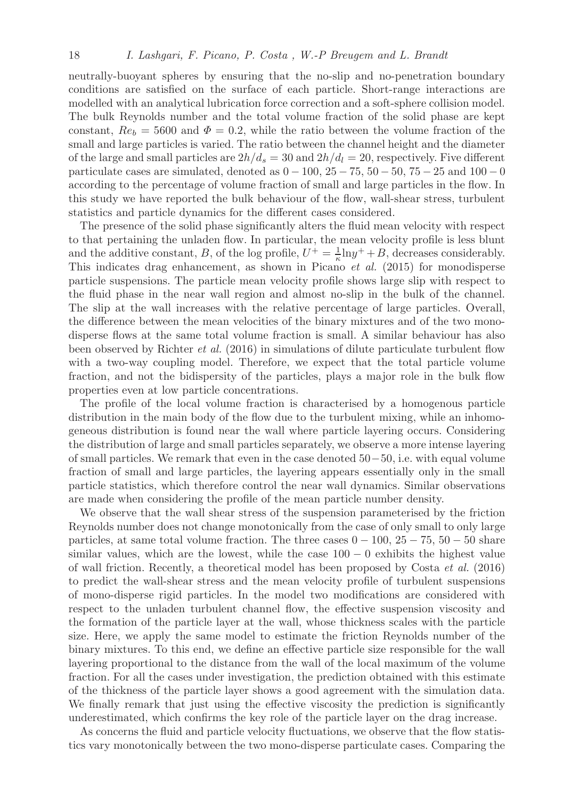neutrally-buoyant spheres by ensuring that the no-slip and no-penetration boundary conditions are satisfied on the surface of each particle. Short-range interactions are modelled with an analytical lubrication force correction and a soft-sphere collision model. The bulk Reynolds number and the total volume fraction of the solid phase are kept constant,  $Re_b = 5600$  and  $\Phi = 0.2$ , while the ratio between the volume fraction of the small and large particles is varied. The ratio between the channel height and the diameter of the large and small particles are  $2h/d_s = 30$  and  $2h/d_l = 20$ , respectively. Five different particulate cases are simulated, denoted as  $0 - 100$ ,  $25 - 75$ ,  $50 - 50$ ,  $75 - 25$  and  $100 - 0$ according to the percentage of volume fraction of small and large particles in the flow. In this study we have reported the bulk behaviour of the flow, wall-shear stress, turbulent statistics and particle dynamics for the different cases considered.

The presence of the solid phase significantly alters the fluid mean velocity with respect to that pertaining the unladen flow. In particular, the mean velocity profile is less blunt and the additive constant, B, of the log profile,  $U^+ = \frac{1}{\kappa} \ln y^+ + B$ , decreases considerably. This indicates drag enhancement, as shown in Picano *et al.* (2015) for monodisperse particle suspensions. The particle mean velocity profile shows large slip with respect to the fluid phase in the near wall region and almost no-slip in the bulk of the channel. The slip at the wall increases with the relative percentage of large particles. Overall, the difference between the mean velocities of the binary mixtures and of the two monodisperse flows at the same total volume fraction is small. A similar behaviour has also been observed by Richter et al. (2016) in simulations of dilute particulate turbulent flow with a two-way coupling model. Therefore, we expect that the total particle volume fraction, and not the bidispersity of the particles, plays a major role in the bulk flow properties even at low particle concentrations.

The profile of the local volume fraction is characterised by a homogenous particle distribution in the main body of the flow due to the turbulent mixing, while an inhomogeneous distribution is found near the wall where particle layering occurs. Considering the distribution of large and small particles separately, we observe a more intense layering of small particles. We remark that even in the case denoted 50−50, i.e. with equal volume fraction of small and large particles, the layering appears essentially only in the small particle statistics, which therefore control the near wall dynamics. Similar observations are made when considering the profile of the mean particle number density.

We observe that the wall shear stress of the suspension parameterised by the friction Reynolds number does not change monotonically from the case of only small to only large particles, at same total volume fraction. The three cases  $0 - 100$ ,  $25 - 75$ ,  $50 - 50$  share similar values, which are the lowest, while the case  $100 - 0$  exhibits the highest value of wall friction. Recently, a theoretical model has been proposed by Costa et al. (2016) to predict the wall-shear stress and the mean velocity profile of turbulent suspensions of mono-disperse rigid particles. In the model two modifications are considered with respect to the unladen turbulent channel flow, the effective suspension viscosity and the formation of the particle layer at the wall, whose thickness scales with the particle size. Here, we apply the same model to estimate the friction Reynolds number of the binary mixtures. To this end, we define an effective particle size responsible for the wall layering proportional to the distance from the wall of the local maximum of the volume fraction. For all the cases under investigation, the prediction obtained with this estimate of the thickness of the particle layer shows a good agreement with the simulation data. We finally remark that just using the effective viscosity the prediction is significantly underestimated, which confirms the key role of the particle layer on the drag increase.

As concerns the fluid and particle velocity fluctuations, we observe that the flow statistics vary monotonically between the two mono-disperse particulate cases. Comparing the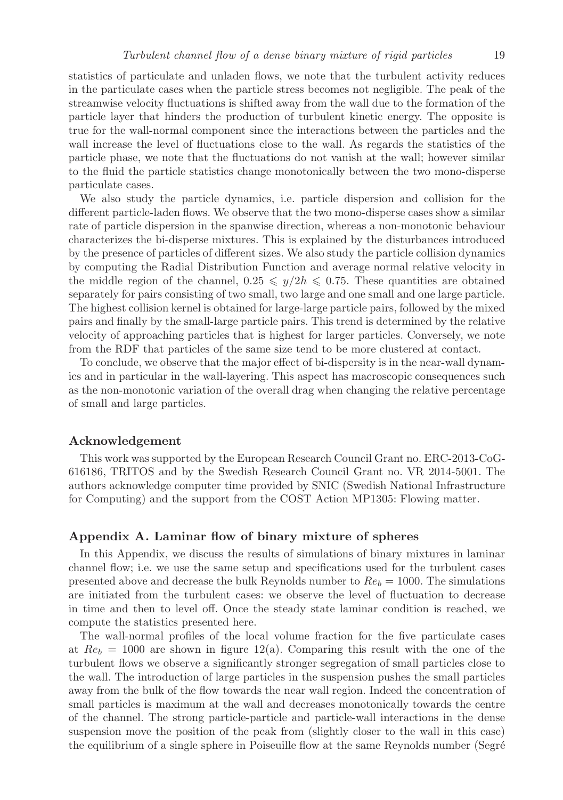statistics of particulate and unladen flows, we note that the turbulent activity reduces in the particulate cases when the particle stress becomes not negligible. The peak of the streamwise velocity fluctuations is shifted away from the wall due to the formation of the particle layer that hinders the production of turbulent kinetic energy. The opposite is true for the wall-normal component since the interactions between the particles and the wall increase the level of fluctuations close to the wall. As regards the statistics of the particle phase, we note that the fluctuations do not vanish at the wall; however similar to the fluid the particle statistics change monotonically between the two mono-disperse particulate cases.

We also study the particle dynamics, i.e. particle dispersion and collision for the different particle-laden flows. We observe that the two mono-disperse cases show a similar rate of particle dispersion in the spanwise direction, whereas a non-monotonic behaviour characterizes the bi-disperse mixtures. This is explained by the disturbances introduced by the presence of particles of different sizes. We also study the particle collision dynamics by computing the Radial Distribution Function and average normal relative velocity in the middle region of the channel,  $0.25 \leq y/2h \leq 0.75$ . These quantities are obtained separately for pairs consisting of two small, two large and one small and one large particle. The highest collision kernel is obtained for large-large particle pairs, followed by the mixed pairs and finally by the small-large particle pairs. This trend is determined by the relative velocity of approaching particles that is highest for larger particles. Conversely, we note from the RDF that particles of the same size tend to be more clustered at contact.

To conclude, we observe that the major effect of bi-dispersity is in the near-wall dynamics and in particular in the wall-layering. This aspect has macroscopic consequences such as the non-monotonic variation of the overall drag when changing the relative percentage of small and large particles.

## Acknowledgement

This work was supported by the European Research Council Grant no. ERC-2013-CoG-616186, TRITOS and by the Swedish Research Council Grant no. VR 2014-5001. The authors acknowledge computer time provided by SNIC (Swedish National Infrastructure for Computing) and the support from the COST Action MP1305: Flowing matter.

## Appendix A. Laminar flow of binary mixture of spheres

In this Appendix, we discuss the results of simulations of binary mixtures in laminar channel flow; i.e. we use the same setup and specifications used for the turbulent cases presented above and decrease the bulk Reynolds number to  $Re_b = 1000$ . The simulations are initiated from the turbulent cases: we observe the level of fluctuation to decrease in time and then to level off. Once the steady state laminar condition is reached, we compute the statistics presented here.

The wall-normal profiles of the local volume fraction for the five particulate cases at  $Re_b = 1000$  are shown in figure 12(a). Comparing this result with the one of the turbulent flows we observe a significantly stronger segregation of small particles close to the wall. The introduction of large particles in the suspension pushes the small particles away from the bulk of the flow towards the near wall region. Indeed the concentration of small particles is maximum at the wall and decreases monotonically towards the centre of the channel. The strong particle-particle and particle-wall interactions in the dense suspension move the position of the peak from (slightly closer to the wall in this case) the equilibrium of a single sphere in Poiseuille flow at the same Reynolds number (Segré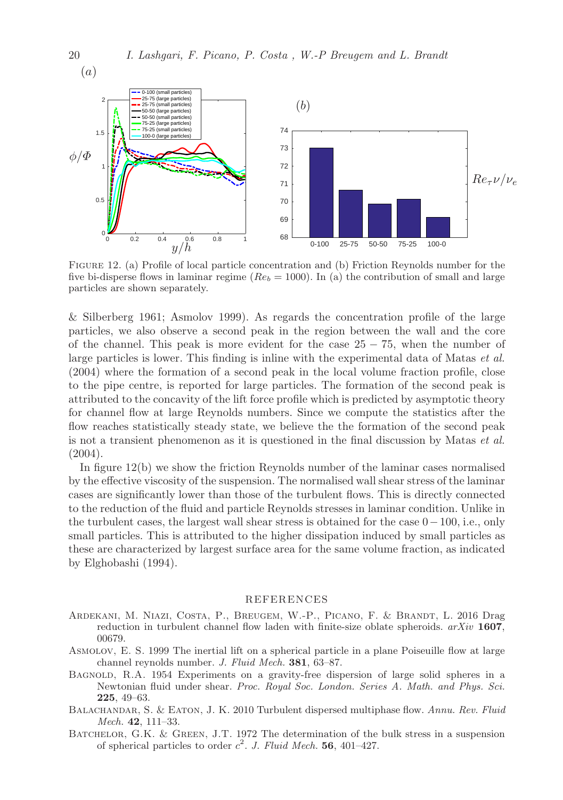

Figure 12. (a) Profile of local particle concentration and (b) Friction Reynolds number for the five bi-disperse flows in laminar regime ( $Re_b = 1000$ ). In (a) the contribution of small and large particles are shown separately.

& Silberberg 1961; Asmolov 1999). As regards the concentration profile of the large particles, we also observe a second peak in the region between the wall and the core of the channel. This peak is more evident for the case  $25 - 75$ , when the number of large particles is lower. This finding is inline with the experimental data of Matas et al. (2004) where the formation of a second peak in the local volume fraction profile, close to the pipe centre, is reported for large particles. The formation of the second peak is attributed to the concavity of the lift force profile which is predicted by asymptotic theory for channel flow at large Reynolds numbers. Since we compute the statistics after the flow reaches statistically steady state, we believe the the formation of the second peak is not a transient phenomenon as it is questioned in the final discussion by Matas et al. (2004).

In figure 12(b) we show the friction Reynolds number of the laminar cases normalised by the effective viscosity of the suspension. The normalised wall shear stress of the laminar cases are significantly lower than those of the turbulent flows. This is directly connected to the reduction of the fluid and particle Reynolds stresses in laminar condition. Unlike in the turbulent cases, the largest wall shear stress is obtained for the case 0−100, i.e., only small particles. This is attributed to the higher dissipation induced by small particles as these are characterized by largest surface area for the same volume fraction, as indicated by Elghobashi (1994).

#### REFERENCES

- Ardekani, M. Niazi, Costa, P., Breugem, W.-P., Picano, F. & Brandt, L. 2016 Drag reduction in turbulent channel flow laden with finite-size oblate spheroids.  $arXiv$  1607, 00679.
- Asmolov, E. S. 1999 The inertial lift on a spherical particle in a plane Poiseuille flow at large channel reynolds number. J. Fluid Mech. 381, 63–87.
- BAGNOLD, R.A. 1954 Experiments on a gravity-free dispersion of large solid spheres in a Newtonian fluid under shear. Proc. Royal Soc. London. Series A. Math. and Phys. Sci. 225, 49–63.
- BALACHANDAR, S. & EATON, J. K. 2010 Turbulent dispersed multiphase flow. Annu. Rev. Fluid Mech. 42, 111–33.
- BATCHELOR, G.K. & GREEN, J.T. 1972 The determination of the bulk stress in a suspension of spherical particles to order  $c^2$ . J. Fluid Mech. 56, 401-427.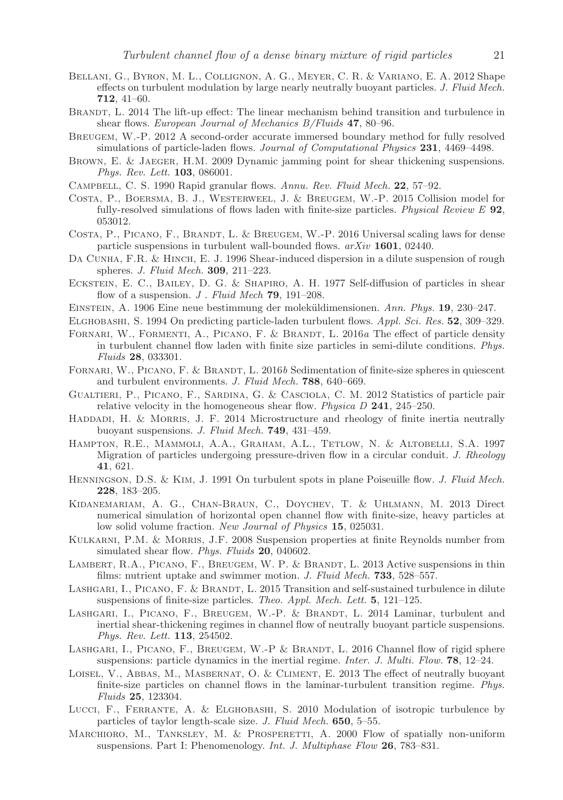- Bellani, G., Byron, M. L., Collignon, A. G., Meyer, C. R. & Variano, E. A. 2012 Shape effects on turbulent modulation by large nearly neutrally buoyant particles. J. Fluid Mech. 712, 41–60.
- BRANDT, L. 2014 The lift-up effect: The linear mechanism behind transition and turbulence in shear flows. European Journal of Mechanics B/Fluids 47, 80-96.
- Breugem, W.-P. 2012 A second-order accurate immersed boundary method for fully resolved simulations of particle-laden flows. Journal of Computational Physics 231, 4469-4498.
- Brown, E. & Jaeger, H.M. 2009 Dynamic jamming point for shear thickening suspensions. Phys. Rev. Lett. **103**, 086001.
- Campbell, C. S. 1990 Rapid granular flows. Annu. Rev. Fluid Mech. 22, 57–92.
- Costa, P., Boersma, B. J., Westerweel, J. & Breugem, W.-P. 2015 Collision model for fully-resolved simulations of flows laden with finite-size particles. Physical Review E 92, 053012.
- COSTA, P., PICANO, F., BRANDT, L. & BREUGEM, W.-P. 2016 Universal scaling laws for dense particle suspensions in turbulent wall-bounded flows.  $arXiv$  1601, 02440.
- DA CUNHA, F.R. & HINCH, E. J. 1996 Shear-induced dispersion in a dilute suspension of rough spheres. J. Fluid Mech. 309, 211–223.
- Eckstein, E. C., Bailey, D. G. & Shapiro, A. H. 1977 Self-diffusion of particles in shear flow of a suspension.  $J$ . Fluid Mech 79, 191-208.
- EINSTEIN, A. 1906 Eine neue bestimmung der moleküldimensionen. Ann. Phys. 19, 230–247.
- Elghobashi, S. 1994 On predicting particle-laden turbulent flows. Appl. Sci. Res. 52, 309–329.
- FORNARI, W., FORMENTI, A., PICANO, F. & BRANDT, L. 2016a The effect of particle density in turbulent channel flow laden with finite size particles in semi-dilute conditions. Phys. Fluids 28, 033301.
- FORNARI, W., PICANO, F. & BRANDT, L. 2016b Sedimentation of finite-size spheres in quiescent and turbulent environments. J. Fluid Mech. 788, 640–669.
- Gualtieri, P., Picano, F., Sardina, G. & Casciola, C. M. 2012 Statistics of particle pair relative velocity in the homogeneous shear flow. Physica D 241, 245–250.
- HADDADI, H. & MORRIS, J. F. 2014 Microstructure and rheology of finite inertia neutrally buoyant suspensions. J. Fluid Mech. 749, 431–459.
- Hampton, R.E., Mammoli, A.A., Graham, A.L., Tetlow, N. & Altobelli, S.A. 1997 Migration of particles undergoing pressure-driven flow in a circular conduit. J. Rheology 41, 621.
- Henningson, D.S. & Kim, J. 1991 On turbulent spots in plane Poiseuille flow. J. Fluid Mech. 228, 183–205.
- Kidanemariam, A. G., Chan-Braun, C., Doychev, T. & Uhlmann, M. 2013 Direct numerical simulation of horizontal open channel flow with finite-size, heavy particles at low solid volume fraction. New Journal of Physics 15, 025031.
- Kulkarni, P.M. & Morris, J.F. 2008 Suspension properties at finite Reynolds number from simulated shear flow. Phys. Fluids 20, 040602.
- LAMBERT, R.A., PICANO, F., BREUGEM, W. P. & BRANDT, L. 2013 Active suspensions in thin films: nutrient uptake and swimmer motion. J. Fluid Mech. **733**, 528–557.
- LASHGARI, I., PICANO, F. & BRANDT, L. 2015 Transition and self-sustained turbulence in dilute suspensions of finite-size particles. Theo. Appl. Mech. Lett. 5, 121–125.
- LASHGARI, I., PICANO, F., BREUGEM, W.-P. & BRANDT, L. 2014 Laminar, turbulent and inertial shear-thickening regimes in channel flow of neutrally buoyant particle suspensions. Phys. Rev. Lett. 113, 254502.
- LASHGARI, I., PICANO, F., BREUGEM, W.-P & BRANDT, L. 2016 Channel flow of rigid sphere suspensions: particle dynamics in the inertial regime. Inter. J. Multi. Flow. **78**,  $12-24$ .
- LOISEL, V., ABBAS, M., MASBERNAT, O. & CLIMENT, E. 2013 The effect of neutrally buoyant finite-size particles on channel flows in the laminar-turbulent transition regime. Phys. Fluids 25, 123304.
- Lucci, F., Ferrante, A. & Elghobashi, S. 2010 Modulation of isotropic turbulence by particles of taylor length-scale size. J. Fluid Mech. 650, 5–55.
- MARCHIORO, M., TANKSLEY, M. & PROSPERETTI, A. 2000 Flow of spatially non-uniform suspensions. Part I: Phenomenology. *Int. J. Multiphase Flow* 26, 783–831.